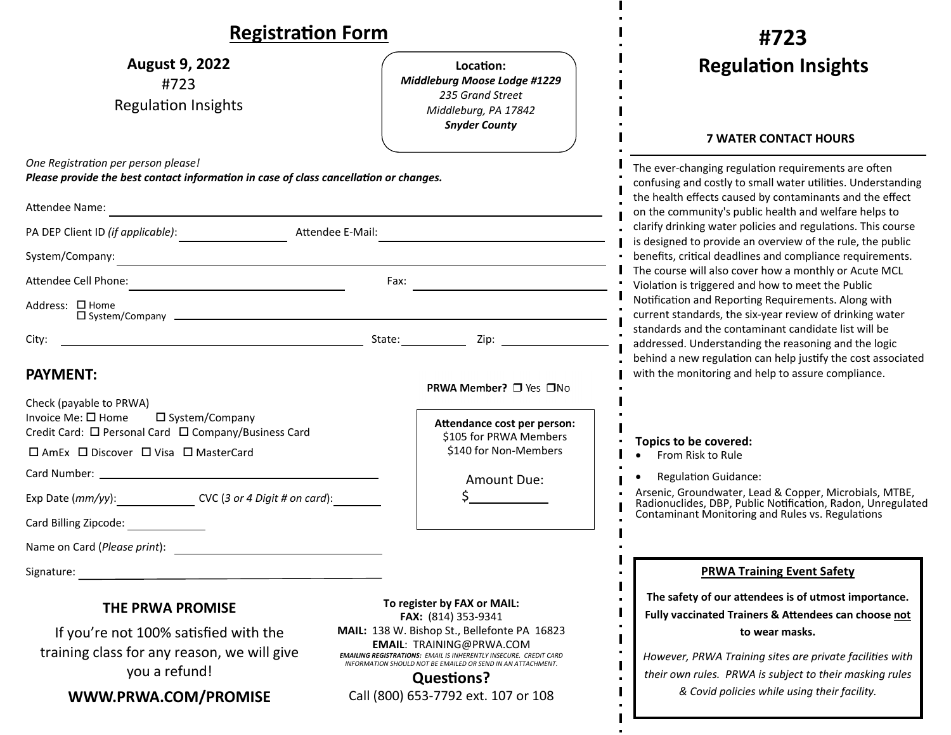### **RegistraƟon Form**

| <b>NEXISU QUULL FULLII</b>                                                                                                                                                                                                                                                                                                             |                                                                                                                                                                                                                                                                                                       | #723                                                                                                                                                                                                                                                                                                                                                                   |  |
|----------------------------------------------------------------------------------------------------------------------------------------------------------------------------------------------------------------------------------------------------------------------------------------------------------------------------------------|-------------------------------------------------------------------------------------------------------------------------------------------------------------------------------------------------------------------------------------------------------------------------------------------------------|------------------------------------------------------------------------------------------------------------------------------------------------------------------------------------------------------------------------------------------------------------------------------------------------------------------------------------------------------------------------|--|
| <b>August 9, 2022</b><br>#723<br><b>Regulation Insights</b>                                                                                                                                                                                                                                                                            | Location:<br>Middleburg Moose Lodge #1229<br>235 Grand Street<br>Middleburg, PA 17842<br><b>Snyder County</b>                                                                                                                                                                                         | <b>Regulation Insights</b><br><b>7 WATER CONTACT HOURS</b>                                                                                                                                                                                                                                                                                                             |  |
| One Registration per person please!<br>Please provide the best contact information in case of class cancellation or changes.<br>Attendee Name:<br><u> 1989 - Johann Barbara, martxa alemaniar argumento este alemaniar alemaniar alemaniar alemaniar alemaniar al</u><br>PA DEP Client ID <i>(if applicable)</i> :<br>Attendee E-Mail: |                                                                                                                                                                                                                                                                                                       | The ever-changing regulation requirements are often<br>confusing and costly to small water utilities. Understanding<br>the health effects caused by contaminants and the effect<br>on the community's public health and welfare helps to<br>clarify drinking water policies and regulations. This course<br>is designed to provide an overview of the rule, the public |  |
| System/Company:<br><u> 1989 - Johann Stein, mars an deus Amerikaansk kommunister (* 1950)</u><br>Attendee Cell Phone:<br>Address: □ Home<br>$\square$ System/Company $\square$                                                                                                                                                         | Fax:                                                                                                                                                                                                                                                                                                  | benefits, critical deadlines and compliance requirements.<br>The course will also cover how a monthly or Acute MCL<br>Violation is triggered and how to meet the Public<br>Notification and Reporting Requirements. Along with<br>current standards, the six-year review of drinking water<br>standards and the contaminant candidate list will be                     |  |
| City:<br><b>PAYMENT:</b><br>Check (payable to PRWA)                                                                                                                                                                                                                                                                                    | <b>PRWA Member?</b> □ Yes □No                                                                                                                                                                                                                                                                         | addressed. Understanding the reasoning and the logic<br>behind a new regulation can help justify the cost associated<br>with the monitoring and help to assure compliance.                                                                                                                                                                                             |  |
| Invoice Me: $\square$ Home<br>$\square$ System/Company<br>Credit Card: □ Personal Card □ Company/Business Card<br>□ AmEx □ Discover □ Visa □ MasterCard                                                                                                                                                                                | Attendance cost per person:<br>\$105 for PRWA Members<br>\$140 for Non-Members<br>Amount Due:                                                                                                                                                                                                         | Topics to be covered:<br>From Risk to Rule<br><b>Regulation Guidance:</b>                                                                                                                                                                                                                                                                                              |  |
| Exp Date (mm/yy):_____________________CVC (3 or 4 Digit # on card):____________<br>Card Billing Zipcode:                                                                                                                                                                                                                               |                                                                                                                                                                                                                                                                                                       | Arsenic, Groundwater, Lead & Copper, Microbials, MTBE,<br>Radionuclides, DBP, Public Notification, Radon, Unregulated<br><b>Contaminant Monitoring and Rules vs. Regulations</b>                                                                                                                                                                                       |  |
| Name on Card ( <i>Please print</i> ): Name on Card Control of the Card Control of the Card Control of the Card Control of the Control of the Control of the Control of the Control of the Control of the Control of the Control of th<br>Signature:                                                                                    |                                                                                                                                                                                                                                                                                                       | <b>PRWA Training Event Safety</b>                                                                                                                                                                                                                                                                                                                                      |  |
| THE PRWA PROMISE<br>If you're not 100% satisfied with the<br>training class for any reason, we will give<br>you a refund!                                                                                                                                                                                                              | To register by FAX or MAIL:<br>FAX: (814) 353-9341<br>MAIL: 138 W. Bishop St., Bellefonte PA 16823<br><b>EMAIL: TRAINING@PRWA.COM</b><br><b>EMAILING REGISTRATIONS: EMAIL IS INHERENTLY INSECURE. CREDIT CARD</b><br>INFORMATION SHOULD NOT BE EMAILED OR SEND IN AN ATTACHMENT.<br><b>Questions?</b> | The safety of our attendees is of utmost importance.<br>Fully vaccinated Trainers & Attendees can choose not<br>to wear masks.<br>However, PRWA Training sites are private facilities with<br>their own rules. PRWA is subject to their masking rules                                                                                                                  |  |
| WWW.PRWA.COM/PROMISE                                                                                                                                                                                                                                                                                                                   | Call (800) 653-7792 ext. 107 or 108                                                                                                                                                                                                                                                                   | & Covid policies while using their facility.                                                                                                                                                                                                                                                                                                                           |  |

*#123*